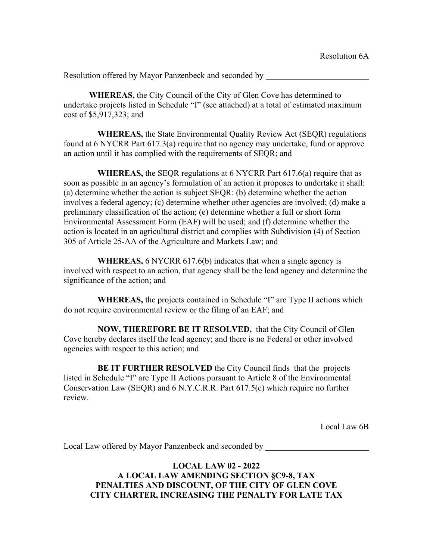**WHEREAS,** the City Council of the City of Glen Cove has determined to undertake projects listed in Schedule "I" (see attached) at a total of estimated maximum cost of \$5,917,323; and

 **WHEREAS,** the State Environmental Quality Review Act (SEQR) regulations found at 6 NYCRR Part 617.3(a) require that no agency may undertake, fund or approve an action until it has complied with the requirements of SEQR; and

 **WHEREAS,** the SEQR regulations at 6 NYCRR Part 617.6(a) require that as soon as possible in an agency's formulation of an action it proposes to undertake it shall: (a) determine whether the action is subject SEQR: (b) determine whether the action involves a federal agency; (c) determine whether other agencies are involved; (d) make a preliminary classification of the action; (e) determine whether a full or short form Environmental Assessment Form (EAF) will be used; and (f) determine whether the action is located in an agricultural district and complies with Subdivision (4) of Section 305 of Article 25-AA of the Agriculture and Markets Law; and

 **WHEREAS,** 6 NYCRR 617.6(b) indicates that when a single agency is involved with respect to an action, that agency shall be the lead agency and determine the significance of the action; and

 **WHEREAS,** the projects contained in Schedule "I" are Type II actions which do not require environmental review or the filing of an EAF; and

 **NOW, THEREFORE BE IT RESOLVED,** that the City Council of Glen Cove hereby declares itself the lead agency; and there is no Federal or other involved agencies with respect to this action; and

 **BE IT FURTHER RESOLVED** the City Council finds that the projects listed in Schedule "I" are Type II Actions pursuant to Article 8 of the Environmental Conservation Law (SEQR) and 6 N.Y.C.R.R. Part 617.5(c) which require no further review.

Local Law 6B

Local Law offered by Mayor Panzenbeck and seconded by

**LOCAL LAW 02 - 2022 A LOCAL LAW AMENDING SECTION §C9-8, TAX PENALTIES AND DISCOUNT, OF THE CITY OF GLEN COVE CITY CHARTER, INCREASING THE PENALTY FOR LATE TAX**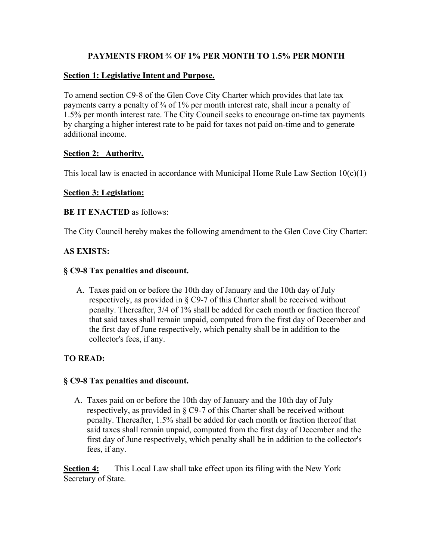# **PAYMENTS FROM ¾ OF 1% PER MONTH TO 1.5% PER MONTH**

### **Section 1: Legislative Intent and Purpose.**

To amend section C9-8 of the Glen Cove City Charter which provides that late tax payments carry a penalty of <sup>3</sup>/4 of 1% per month interest rate, shall incur a penalty of 1.5% per month interest rate. The City Council seeks to encourage on-time tax payments by charging a higher interest rate to be paid for taxes not paid on-time and to generate additional income.

# **Section 2: Authority.**

This local law is enacted in accordance with Municipal Home Rule Law Section  $10(c)(1)$ 

# **Section 3: Legislation:**

# **BE IT ENACTED** as follows:

The City Council hereby makes the following amendment to the Glen Cove City Charter:

# **AS EXISTS:**

# **§ C9-8 Tax penalties and discount.**

A. Taxes paid on or before the 10th day of January and the 10th day of July respectively, as provided in § C9-7 of this Charter shall be received without penalty. Thereafter, 3/4 of 1% shall be added for each month or fraction thereof that said taxes shall remain unpaid, computed from the first day of December and the first day of June respectively, which penalty shall be in addition to the collector's fees, if any.

# **TO READ:**

### **§ C9-8 Tax penalties and discount.**

A. Taxes paid on or before the 10th day of January and the 10th day of July respectively, as provided in § C9-7 of this Charter shall be received without penalty. Thereafter, 1.5% shall be added for each month or fraction thereof that said taxes shall remain unpaid, computed from the first day of December and the first day of June respectively, which penalty shall be in addition to the collector's fees, if any.

**Section 4:** This Local Law shall take effect upon its filing with the New York Secretary of State.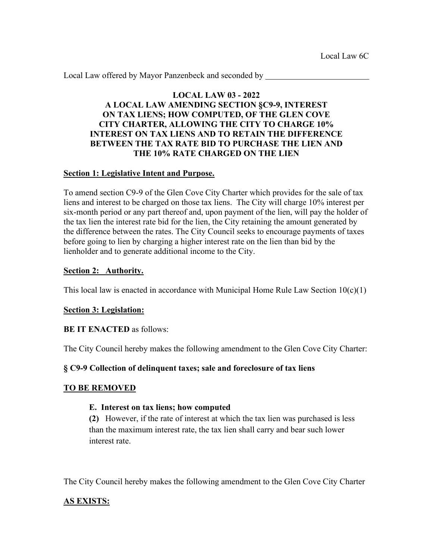Local Law offered by Mayor Panzenbeck and seconded by

### **LOCAL LAW 03 - 2022 A LOCAL LAW AMENDING SECTION §C9-9, INTEREST ON TAX LIENS; HOW COMPUTED, OF THE GLEN COVE CITY CHARTER, ALLOWING THE CITY TO CHARGE 10% INTEREST ON TAX LIENS AND TO RETAIN THE DIFFERENCE BETWEEN THE TAX RATE BID TO PURCHASE THE LIEN AND THE 10% RATE CHARGED ON THE LIEN**

#### **Section 1: Legislative Intent and Purpose.**

To amend section C9-9 of the Glen Cove City Charter which provides for the sale of tax liens and interest to be charged on those tax liens. The City will charge 10% interest per six-month period or any part thereof and, upon payment of the lien, will pay the holder of the tax lien the interest rate bid for the lien, the City retaining the amount generated by the difference between the rates. The City Council seeks to encourage payments of taxes before going to lien by charging a higher interest rate on the lien than bid by the lienholder and to generate additional income to the City.

#### **Section 2: Authority.**

This local law is enacted in accordance with Municipal Home Rule Law Section  $10(c)(1)$ 

### **Section 3: Legislation:**

### **BE IT ENACTED** as follows:

The City Council hereby makes the following amendment to the Glen Cove City Charter:

### **§ C9-9 Collection of delinquent taxes; sale and foreclosure of tax liens**

### **TO BE REMOVED**

### **E. Interest on tax liens; how computed**

**(2)** However, if the rate of interest at which the tax lien was purchased is less than the maximum interest rate, the tax lien shall carry and bear such lower interest rate.

The City Council hereby makes the following amendment to the Glen Cove City Charter

### **AS EXISTS:**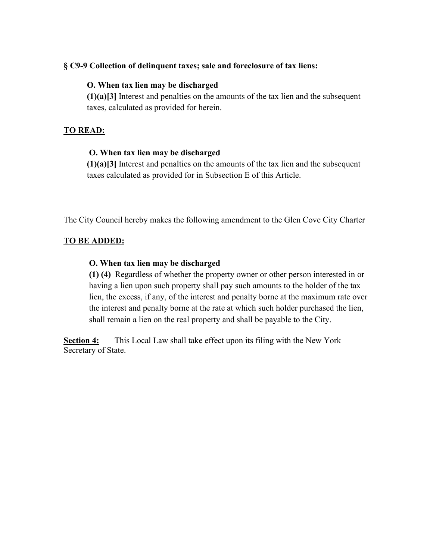#### **§ C9-9 Collection of delinquent taxes; sale and foreclosure of tax liens:**

#### **O. When tax lien may be discharged**

**(1)(a)[3]** Interest and penalties on the amounts of the tax lien and the subsequent taxes, calculated as provided for herein.

#### **TO READ:**

#### **O. When tax lien may be discharged**

**(1)(a)[3]** Interest and penalties on the amounts of the tax lien and the subsequent taxes calculated as provided for in Subsection E of this Article.

The City Council hereby makes the following amendment to the Glen Cove City Charter

#### **TO BE ADDED:**

#### **O. When tax lien may be discharged**

**(1) (4)** Regardless of whether the property owner or other person interested in or having a lien upon such property shall pay such amounts to the holder of the tax lien, the excess, if any, of the interest and penalty borne at the maximum rate over the interest and penalty borne at the rate at which such holder purchased the lien, shall remain a lien on the real property and shall be payable to the City.

**Section 4:** This Local Law shall take effect upon its filing with the New York Secretary of State.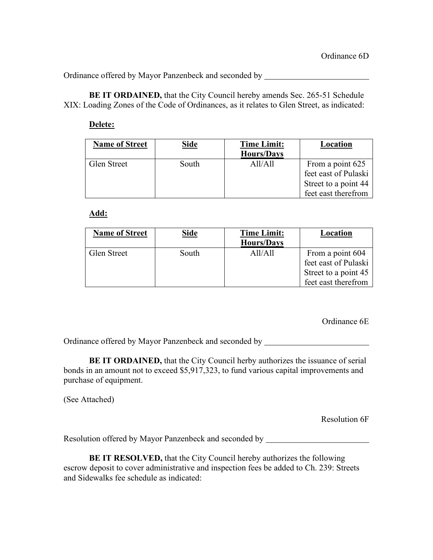Ordinance offered by Mayor Panzenbeck and seconded by

**BE IT ORDAINED,** that the City Council hereby amends Sec. 265-51 Schedule XIX: Loading Zones of the Code of Ordinances, as it relates to Glen Street, as indicated:

#### **Delete:**

| <b>Name of Street</b> | <b>Side</b> | <b>Time Limit:</b> | Location             |
|-----------------------|-------------|--------------------|----------------------|
|                       |             | <b>Hours/Days</b>  |                      |
| Glen Street           | South       | AI1/A11            | From a point 625     |
|                       |             |                    | feet east of Pulaski |
|                       |             |                    | Street to a point 44 |
|                       |             |                    | feet east therefrom  |

**Add:**

| <b>Name of Street</b> | <b>Side</b> | <b>Time Limit:</b><br><b>Hours/Days</b> | Location             |
|-----------------------|-------------|-----------------------------------------|----------------------|
| Glen Street           | South       | AI/A11                                  | From a point 604     |
|                       |             |                                         | feet east of Pulaski |
|                       |             |                                         | Street to a point 45 |
|                       |             |                                         | feet east therefrom  |

Ordinance 6E

Ordinance offered by Mayor Panzenbeck and seconded by

**BE IT ORDAINED,** that the City Council herby authorizes the issuance of serial bonds in an amount not to exceed \$5,917,323, to fund various capital improvements and purchase of equipment.

(See Attached)

Resolution 6F

Resolution offered by Mayor Panzenbeck and seconded by

**BE IT RESOLVED,** that the City Council hereby authorizes the following escrow deposit to cover administrative and inspection fees be added to Ch. 239: Streets and Sidewalks fee schedule as indicated: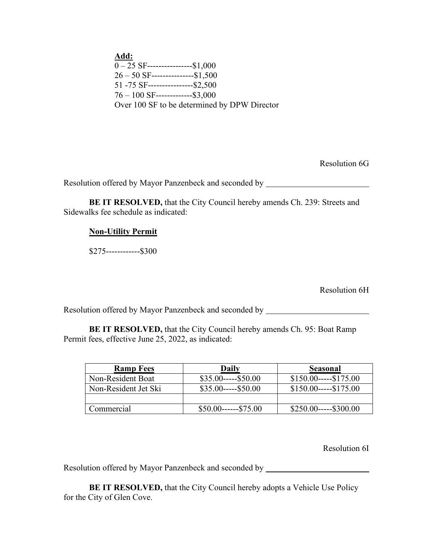**Add:**  $\overline{0-25}$  SF-------------------\$1,000 26 – 50 SF---------------\$1,500 51 -75 SF----------------\$2,500 76 – 100 SF-------------\$3,000 Over 100 SF to be determined by DPW Director

Resolution 6G

Resolution offered by Mayor Panzenbeck and seconded by \_\_\_\_\_\_\_\_\_\_\_\_\_\_\_\_\_\_\_\_\_\_\_\_\_

**BE IT RESOLVED,** that the City Council hereby amends Ch. 239: Streets and Sidewalks fee schedule as indicated:

#### **Non-Utility Permit**

\$275------------\$300

Resolution 6H

Resolution offered by Mayor Panzenbeck and seconded by

**BE IT RESOLVED,** that the City Council hereby amends Ch. 95: Boat Ramp Permit fees, effective June 25, 2022, as indicated:

| <b>Ramp Fees</b>     | Daily                  | Seasonal             |
|----------------------|------------------------|----------------------|
| Non-Resident Boat    | $$35.00---$50.00$      | $$150.00---$175.00$  |
| Non-Resident Jet Ski | $$35.00---$50.00$      | $$150.00---$175.00$  |
|                      |                        |                      |
| Commercial           | $$50.00$ ------\$75.00 | $$250.00---\$300.00$ |

Resolution 6I

Resolution offered by Mayor Panzenbeck and seconded by

**BE IT RESOLVED, that the City Council hereby adopts a Vehicle Use Policy** for the City of Glen Cove.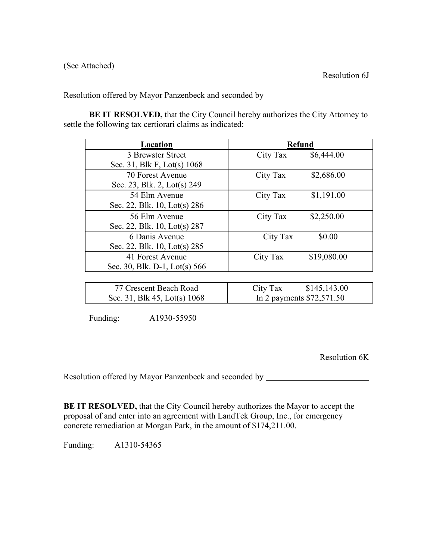**BE IT RESOLVED,** that the City Council hereby authorizes the City Attorney to settle the following tax certiorari claims as indicated:

| Location                      | <b>Refund</b> |             |
|-------------------------------|---------------|-------------|
| 3 Brewster Street             | City Tax      | \$6,444.00  |
| Sec. 31, Blk F, Lot(s) 1068   |               |             |
| 70 Forest Avenue              | City Tax      | \$2,686.00  |
| Sec. 23, Blk. 2, Lot(s) 249   |               |             |
| 54 Elm Avenue                 | City Tax      | \$1,191.00  |
| Sec. 22, Blk. 10, Lot(s) 286  |               |             |
| 56 Elm Avenue                 | City Tax      | \$2,250.00  |
| Sec. 22, Blk. 10, Lot(s) 287  |               |             |
| 6 Danis Avenue                | City Tax      | \$0.00      |
| Sec. 22, Blk. 10, Lot(s) 285  |               |             |
| 41 Forest Avenue              | City Tax      | \$19,080.00 |
| Sec. 30, Blk. D-1, Lot(s) 566 |               |             |
|                               |               |             |

| 77 Crescent Beach Road         | \$145,143.00<br>City Tax   |
|--------------------------------|----------------------------|
| Sec. 31, Blk 45, Lot(s) $1068$ | In 2 payments $$72,571.50$ |

Funding: A1930-55950

Resolution 6K

Resolution offered by Mayor Panzenbeck and seconded by **Exercía and Seconded by** 

**BE IT RESOLVED,** that the City Council hereby authorizes the Mayor to accept the proposal of and enter into an agreement with LandTek Group, Inc., for emergency concrete remediation at Morgan Park, in the amount of \$174,211.00.

Funding: A1310-54365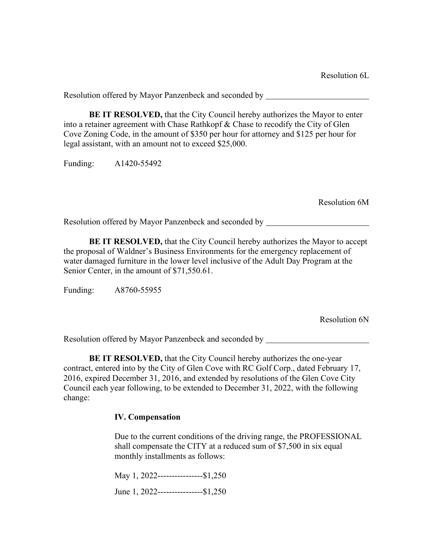**BE IT RESOLVED,** that the City Council hereby authorizes the Mayor to enter into a retainer agreement with Chase Rathkopf & Chase to recodify the City of Glen Cove Zoning Code, in the amount of \$350 per hour for attorney and \$125 per hour for legal assistant, with an amount not to exceed \$25,000.

Funding:A1420-55492

Resolution 6M

Resolution offered by Mayor Panzenbeck and seconded by

**BE IT RESOLVED,** that the City Council hereby authorizes the Mayor to accept the proposal of Waldner's Business Environments for the emergency replacement of water damaged furniture in the lower level inclusive of the Adult Day Program at the Senior Center, in the amount of \$71,550.61.

Funding: A8760-55955

Resolution 6N

Resolution offered by Mayor Panzenbeck and seconded by

**BE IT RESOLVED,** that the City Council hereby authorizes the one-year contract, entered into by the City of Glen Cove with RC Golf Corp., dated February 17, 2016, expired December 31, 2016, and extended by resolutions of the Glen Cove City Council each year following, to be extended to December 31, 2022, with the following change:

#### **IV. Compensation**

Due to the current conditions of the driving range, the PROFESSIONAL shall compensate the CITY at a reduced sum of \$7,500 in six equal monthly installments as follows:

May 1, 2022------------------\$1,250

June 1, 2022----------------\$1,250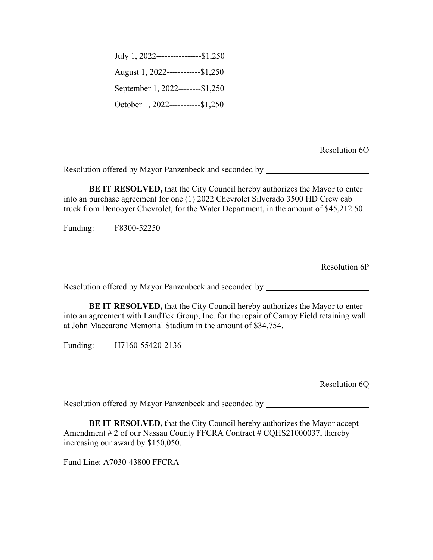July 1, 2022----------------\$1,250 August 1, 2022------------\$1,250 September 1, 2022--------\$1,250 October 1, 2022-----------\$1,250

Resolution 6O

Resolution offered by Mayor Panzenbeck and seconded by

**BE IT RESOLVED,** that the City Council hereby authorizes the Mayor to enter into an purchase agreement for one (1) 2022 Chevrolet Silverado 3500 HD Crew cab truck from Denooyer Chevrolet, for the Water Department, in the amount of \$45,212.50.

Funding: F8300-52250

Resolution 6P

Resolution offered by Mayor Panzenbeck and seconded by

**BE IT RESOLVED,** that the City Council hereby authorizes the Mayor to enter into an agreement with LandTek Group, Inc. for the repair of Campy Field retaining wall at John Maccarone Memorial Stadium in the amount of \$34,754.

Funding: H7160-55420-2136

Resolution 6Q

Resolution offered by Mayor Panzenbeck and seconded by

**BE IT RESOLVED,** that the City Council hereby authorizes the Mayor accept Amendment # 2 of our Nassau County FFCRA Contract # CQHS21000037, thereby increasing our award by \$150,050.

Fund Line: A7030-43800 FFCRA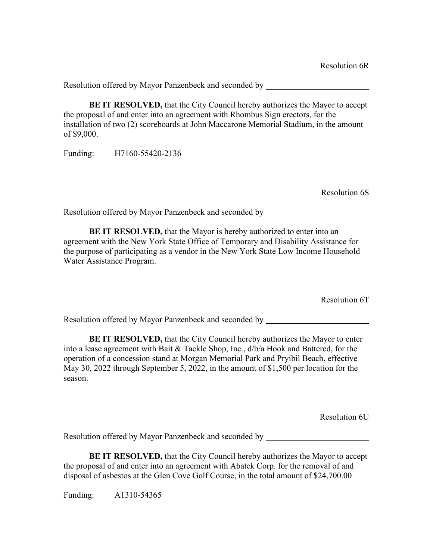**BE IT RESOLVED,** that the City Council hereby authorizes the Mayor to accept the proposal of and enter into an agreement with Rhombus Sign erectors, for the installation of two (2) scoreboards at John Maccarone Memorial Stadium, in the amount of \$9,000.

Funding: H7160-55420-2136

Resolution 6S

Resolution offered by Mayor Panzenbeck and seconded by

**BE IT RESOLVED, that the Mayor is hereby authorized to enter into an** agreement with the New York State Office of Temporary and Disability Assistance for the purpose of participating as a vendor in the New York State Low Income Household Water Assistance Program.

Resolution 6T

Resolution offered by Mayor Panzenbeck and seconded by

**BE IT RESOLVED,** that the City Council hereby authorizes the Mayor to enter into a lease agreement with Bait & Tackle Shop, Inc., d/b/a Hook and Battered, for the operation of a concession stand at Morgan Memorial Park and Pryibil Beach, effective May 30, 2022 through September 5, 2022, in the amount of \$1,500 per location for the season.

Resolution 6U

Resolution offered by Mayor Panzenbeck and seconded by

**BE IT RESOLVED,** that the City Council hereby authorizes the Mayor to accept the proposal of and enter into an agreement with Abatek Corp. for the removal of and disposal of asbestos at the Glen Cove Golf Course, in the total amount of \$24,700.00

Funding: A1310-54365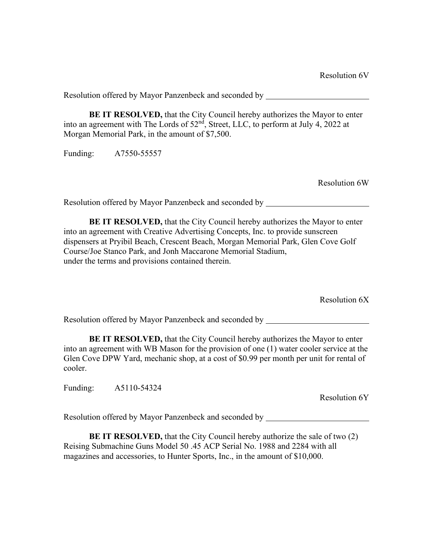**BE IT RESOLVED,** that the City Council hereby authorizes the Mayor to enter into an agreement with The Lords of  $52<sup>nd</sup>$ , Street, LLC, to perform at July 4, 2022 at Morgan Memorial Park, in the amount of \$7,500.

Funding: A7550-55557

Resolution 6W

Resolution offered by Mayor Panzenbeck and seconded by

**BE IT RESOLVED,** that the City Council hereby authorizes the Mayor to enter into an agreement with Creative Advertising Concepts, Inc. to provide sunscreen dispensers at Pryibil Beach, Crescent Beach, Morgan Memorial Park, Glen Cove Golf Course/Joe Stanco Park, and Jonh Maccarone Memorial Stadium, under the terms and provisions contained therein.

Resolution 6X

Resolution offered by Mayor Panzenbeck and seconded by

**BE IT RESOLVED,** that the City Council hereby authorizes the Mayor to enter into an agreement with WB Mason for the provision of one (1) water cooler service at the Glen Cove DPW Yard, mechanic shop, at a cost of \$0.99 per month per unit for rental of cooler.

Funding: A5110-54324

Resolution 6Y

Resolution offered by Mayor Panzenbeck and seconded by

**BE IT RESOLVED,** that the City Council hereby authorize the sale of two (2) Reising Submachine Guns Model 50 .45 ACP Serial No. 1988 and 2284 with all magazines and accessories, to Hunter Sports, Inc., in the amount of \$10,000.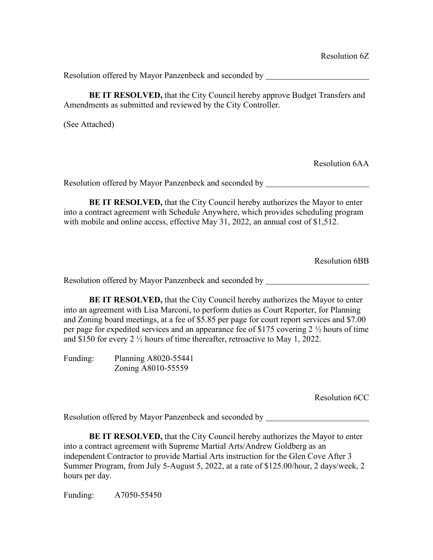**BE IT RESOLVED,** that the City Council hereby approve Budget Transfers and Amendments as submitted and reviewed by the City Controller.

(See Attached)

Resolution 6AA

Resolution offered by Mayor Panzenbeck and seconded by

**BE IT RESOLVED,** that the City Council hereby authorizes the Mayor to enter into a contract agreement with Schedule Anywhere, which provides scheduling program with mobile and online access, effective May 31, 2022, an annual cost of \$1,512.

Resolution 6BB

Resolution offered by Mayor Panzenbeck and seconded by

**BE IT RESOLVED,** that the City Council hereby authorizes the Mayor to enter into an agreement with Lisa Marconi, to perform duties as Court Reporter, for Planning and Zoning board meetings, at a fee of \$5.85 per page for court report services and \$7.00 per page for expedited services and an appearance fee of \$175 covering 2 ½ hours of time and \$150 for every 2 ½ hours of time thereafter, retroactive to May 1, 2022.

Funding: Planning A8020-55441 Zoning A8010-55559

Resolution 6CC

Resolution offered by Mayor Panzenbeck and seconded by

**BE IT RESOLVED,** that the City Council hereby authorizes the Mayor to enter into a contract agreement with Supreme Martial Arts/Andrew Goldberg as an independent Contractor to provide Martial Arts instruction for the Glen Cove After 3 Summer Program, from July 5-August 5, 2022, at a rate of \$125.00/hour, 2 days/week, 2 hours per day.

Funding: A7050-55450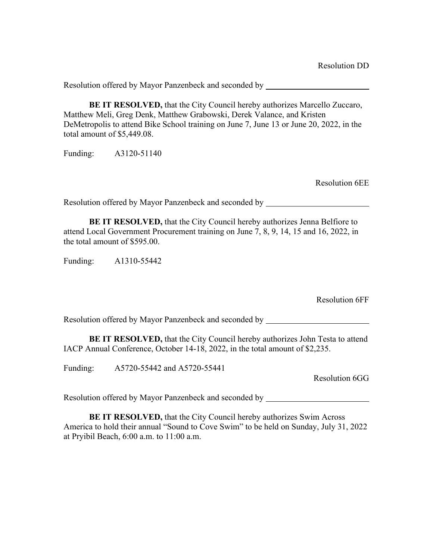**BE IT RESOLVED,** that the City Council hereby authorizes Marcello Zuccaro, Matthew Meli, Greg Denk, Matthew Grabowski, Derek Valance, and Kristen DeMetropolis to attend Bike School training on June 7, June 13 or June 20, 2022, in the total amount of \$5,449.08.

Funding: A3120-51140

Resolution 6EE

Resolution offered by Mayor Panzenbeck and seconded by

**BE IT RESOLVED,** that the City Council hereby authorizes Jenna Belfiore to attend Local Government Procurement training on June 7, 8, 9, 14, 15 and 16, 2022, in the total amount of \$595.00.

Funding: A1310-55442

Resolution 6FF

Resolution offered by Mayor Panzenbeck and seconded by

**BE IT RESOLVED,** that the City Council hereby authorizes John Testa to attend IACP Annual Conference, October 14-18, 2022, in the total amount of \$2,235.

Funding: A5720-55442 and A5720-55441

Resolution 6GG

Resolution offered by Mayor Panzenbeck and seconded by

**BE IT RESOLVED, that the City Council hereby authorizes Swim Across** America to hold their annual "Sound to Cove Swim" to be held on Sunday, July 31, 2022 at Pryibil Beach, 6:00 a.m. to 11:00 a.m.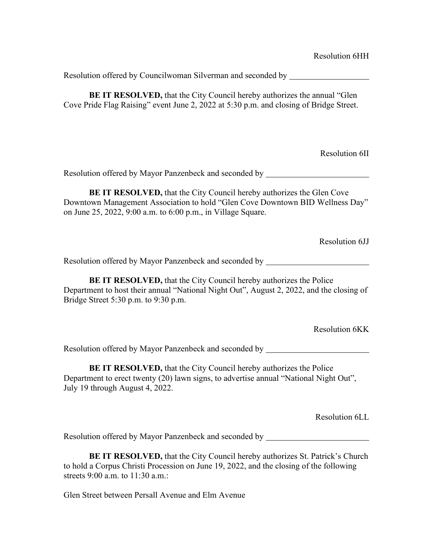Resolution offered by Councilwoman Silverman and seconded by **BE IT RESOLVED,** that the City Council hereby authorizes the annual "Glen Cove Pride Flag Raising" event June 2, 2022 at 5:30 p.m. and closing of Bridge Street. Resolution 6II Resolution offered by Mayor Panzenbeck and seconded by **BE IT RESOLVED,** that the City Council hereby authorizes the Glen Cove Downtown Management Association to hold "Glen Cove Downtown BID Wellness Day" on June 25, 2022, 9:00 a.m. to 6:00 p.m., in Village Square. Resolution 6JJ Resolution offered by Mayor Panzenbeck and seconded by **BE IT RESOLVED, that the City Council hereby authorizes the Police** Department to host their annual "National Night Out", August 2, 2022, and the closing of Bridge Street 5:30 p.m. to 9:30 p.m. Resolution 6KK Resolution offered by Mayor Panzenbeck and seconded by **BE IT RESOLVED, that the City Council hereby authorizes the Police** Department to erect twenty (20) lawn signs, to advertise annual "National Night Out", July 19 through August 4, 2022. Resolution 6LL Resolution offered by Mayor Panzenbeck and seconded by

**BE IT RESOLVED,** that the City Council hereby authorizes St. Patrick's Church to hold a Corpus Christi Procession on June 19, 2022, and the closing of the following streets 9:00 a.m. to 11:30 a.m.:

Glen Street between Persall Avenue and Elm Avenue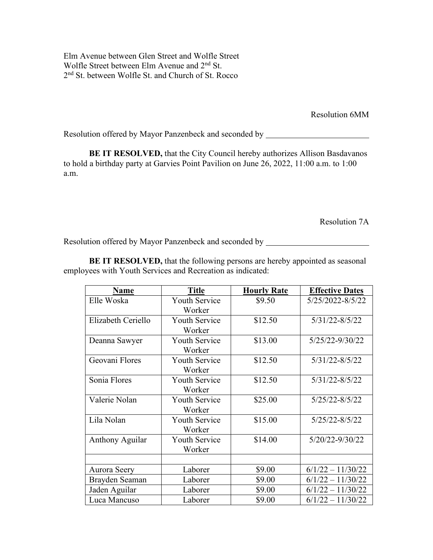Elm Avenue between Glen Street and Wolfle Street Wolfle Street between Elm Avenue and 2<sup>nd</sup> St. 2nd St. between Wolfle St. and Church of St. Rocco

Resolution 6MM

Resolution offered by Mayor Panzenbeck and seconded by \_\_\_\_\_\_\_\_\_\_\_\_\_\_\_\_\_\_\_\_\_\_\_\_\_

**BE IT RESOLVED,** that the City Council hereby authorizes Allison Basdavanos to hold a birthday party at Garvies Point Pavilion on June 26, 2022, 11:00 a.m. to 1:00 a.m.

Resolution 7A

Resolution offered by Mayor Panzenbeck and seconded by

**BE IT RESOLVED,** that the following persons are hereby appointed as seasonal employees with Youth Services and Recreation as indicated:

| Name                   | <b>Title</b>                   | <b>Hourly Rate</b> | <b>Effective Dates</b> |
|------------------------|--------------------------------|--------------------|------------------------|
| Elle Woska             | <b>Youth Service</b><br>Worker | \$9.50             | 5/25/2022-8/5/22       |
| Elizabeth Ceriello     | <b>Youth Service</b><br>Worker | \$12.50            | 5/31/22-8/5/22         |
| Deanna Sawyer          | <b>Youth Service</b><br>Worker | \$13.00            | 5/25/22-9/30/22        |
| Geovani Flores         | <b>Youth Service</b><br>Worker | \$12.50            | 5/31/22-8/5/22         |
| Sonia Flores           | <b>Youth Service</b><br>Worker | \$12.50            | $5/31/22 - 8/5/22$     |
| Valerie Nolan          | <b>Youth Service</b><br>Worker | \$25.00            | 5/25/22-8/5/22         |
| Lila Nolan             | <b>Youth Service</b><br>Worker | \$15.00            | 5/25/22-8/5/22         |
| <b>Anthony Aguilar</b> | <b>Youth Service</b><br>Worker | \$14.00            | 5/20/22-9/30/22        |
|                        |                                |                    |                        |
| Aurora Seery           | Laborer                        | \$9.00             | $6/1/22 - 11/30/22$    |
| Brayden Seaman         | Laborer                        | \$9.00             | $6/1/22 - 11/30/22$    |
| Jaden Aguilar          | Laborer                        | \$9.00             | $6/1/22 - 11/30/22$    |
| Luca Mancuso           | Laborer                        | \$9.00             | $6/1/22 - 11/30/22$    |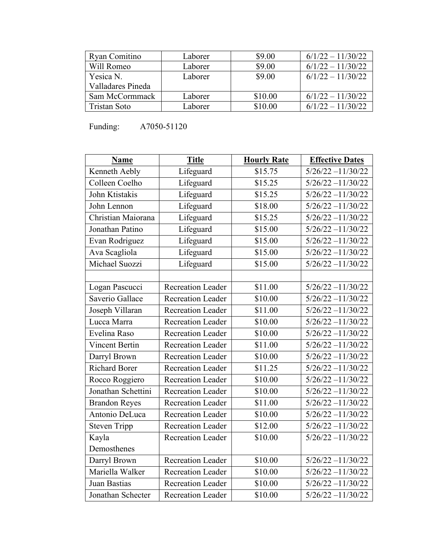| Ryan Comitino     | Laborer | \$9.00  | $6/1/22 - 11/30/22$ |
|-------------------|---------|---------|---------------------|
| Will Romeo        | Laborer | \$9.00  | $6/1/22 - 11/30/22$ |
| Yesica N.         | Laborer | \$9.00  | $6/1/22 - 11/30/22$ |
| Valladares Pineda |         |         |                     |
| Sam McCormmack    | Laborer | \$10.00 | $6/1/22 - 11/30/22$ |
| Tristan Soto      | Laborer | \$10.00 | $6/1/22 - 11/30/22$ |

Funding: A7050-51120

| Name                  | <b>Title</b>             | <b>Hourly Rate</b> | <b>Effective Dates</b> |
|-----------------------|--------------------------|--------------------|------------------------|
| Kenneth Aebly         | Lifeguard                | \$15.75            | $5/26/22 - 11/30/22$   |
| Colleen Coelho        | Lifeguard                | \$15.25            | $5/26/22 - 11/30/22$   |
| John Ktistakis        | Lifeguard                | \$15.25            | $5/26/22 - 11/30/22$   |
| John Lennon           | Lifeguard                | \$18.00            | $5/26/22 - 11/30/22$   |
| Christian Maiorana    | Lifeguard                | \$15.25            | $5/26/22 - 11/30/22$   |
| Jonathan Patino       | Lifeguard                | \$15.00            | $5/26/22 - 11/30/22$   |
| Evan Rodriguez        | Lifeguard                | \$15.00            | $5/26/22 - 11/30/22$   |
| Ava Scagliola         | Lifeguard                | \$15.00            | $5/26/22 - 11/30/22$   |
| Michael Suozzi        | Lifeguard                | \$15.00            | $5/26/22 - 11/30/22$   |
|                       |                          |                    |                        |
| Logan Pascucci        | Recreation Leader        | \$11.00            | $5/26/22 - 11/30/22$   |
| Saverio Gallace       | <b>Recreation Leader</b> | \$10.00            | $5/26/22 - 11/30/22$   |
| Joseph Villaran       | <b>Recreation Leader</b> | \$11.00            | $5/26/22 - 11/30/22$   |
| Lucca Marra           | <b>Recreation Leader</b> | \$10.00            | $5/26/22 - 11/30/22$   |
| Evelina Raso          | Recreation Leader        | \$10.00            | $5/26/22 - 11/30/22$   |
| <b>Vincent Bertin</b> | <b>Recreation Leader</b> | \$11.00            | $5/26/22 - 11/30/22$   |
| Darryl Brown          | <b>Recreation Leader</b> | \$10.00            | $5/26/22 - 11/30/22$   |
| <b>Richard Borer</b>  | <b>Recreation Leader</b> | \$11.25            | $5/26/22 - 11/30/22$   |
| Rocco Roggiero        | <b>Recreation Leader</b> | \$10.00            | $5/26/22 - 11/30/22$   |
| Jonathan Schettini    | <b>Recreation Leader</b> | \$10.00            | $5/26/22 - 11/30/22$   |
| <b>Brandon Reyes</b>  | <b>Recreation Leader</b> | \$11.00            | $5/26/22 - 11/30/22$   |
| Antonio DeLuca        | <b>Recreation Leader</b> | \$10.00            | $5/26/22 - 11/30/22$   |
| <b>Steven Tripp</b>   | Recreation Leader        | \$12.00            | $5/26/22 - 11/30/22$   |
| Kayla                 | <b>Recreation Leader</b> | \$10.00            | $5/26/22 - 11/30/22$   |
| Demosthenes           |                          |                    |                        |
| Darryl Brown          | Recreation Leader        | \$10.00            | $5/26/22 - 11/30/22$   |
| Mariella Walker       | Recreation Leader        | \$10.00            | $5/26/22 - 11/30/22$   |
| Juan Bastias          | <b>Recreation Leader</b> | \$10.00            | $5/26/22 - 11/30/22$   |
| Jonathan Schecter     | <b>Recreation Leader</b> | \$10.00            | $5/26/22 - 11/30/22$   |